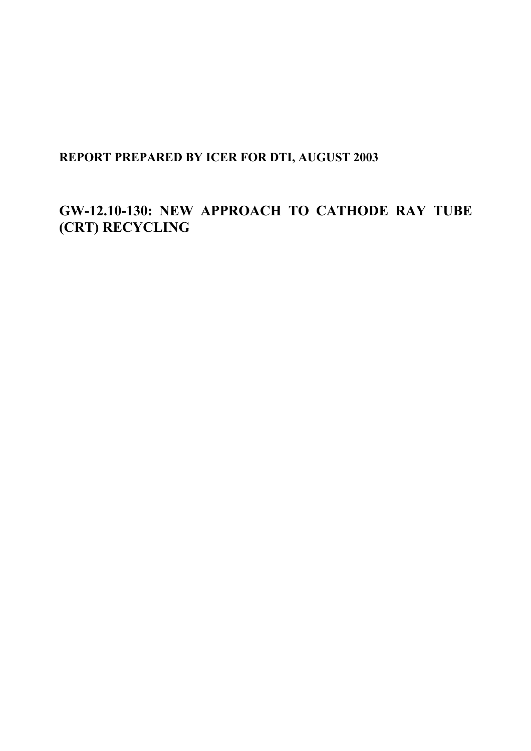# **REPORT PREPARED BY ICER FOR DTI, AUGUST 2003**

# **GW-12.10-130: NEW APPROACH TO CATHODE RAY TUBE (CRT) RECYCLING**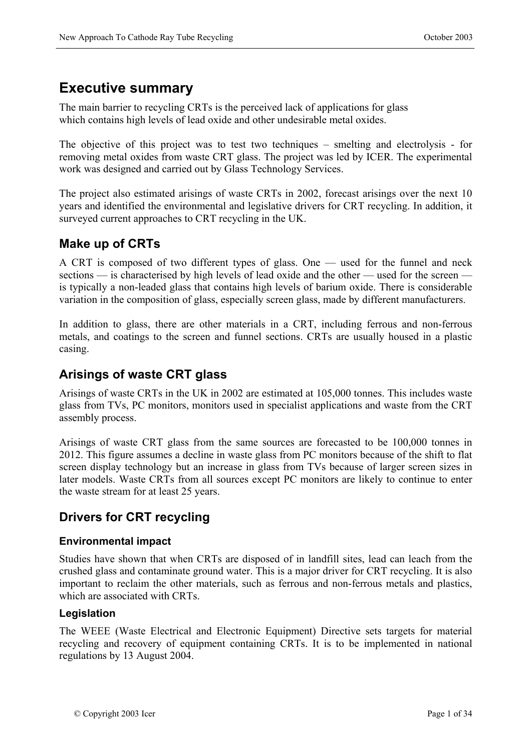# **Executive summary**

The main barrier to recycling CRTs is the perceived lack of applications for glass which contains high levels of lead oxide and other undesirable metal oxides.

The objective of this project was to test two techniques – smelting and electrolysis - for removing metal oxides from waste CRT glass. The project was led by ICER. The experimental work was designed and carried out by Glass Technology Services.

The project also estimated arisings of waste CRTs in 2002, forecast arisings over the next 10 years and identified the environmental and legislative drivers for CRT recycling. In addition, it surveyed current approaches to CRT recycling in the UK.

## **Make up of CRTs**

A CRT is composed of two different types of glass. One — used for the funnel and neck sections — is characterised by high levels of lead oxide and the other — used for the screen is typically a non-leaded glass that contains high levels of barium oxide. There is considerable variation in the composition of glass, especially screen glass, made by different manufacturers.

In addition to glass, there are other materials in a CRT, including ferrous and non-ferrous metals, and coatings to the screen and funnel sections. CRTs are usually housed in a plastic casing.

### **Arisings of waste CRT glass**

Arisings of waste CRTs in the UK in 2002 are estimated at 105,000 tonnes. This includes waste glass from TVs, PC monitors, monitors used in specialist applications and waste from the CRT assembly process.

Arisings of waste CRT glass from the same sources are forecasted to be 100,000 tonnes in 2012. This figure assumes a decline in waste glass from PC monitors because of the shift to flat screen display technology but an increase in glass from TVs because of larger screen sizes in later models. Waste CRTs from all sources except PC monitors are likely to continue to enter the waste stream for at least 25 years.

## **Drivers for CRT recycling**

### **Environmental impact**

Studies have shown that when CRTs are disposed of in landfill sites, lead can leach from the crushed glass and contaminate ground water. This is a major driver for CRT recycling. It is also important to reclaim the other materials, such as ferrous and non-ferrous metals and plastics, which are associated with CRTs.

### **Legislation**

The WEEE (Waste Electrical and Electronic Equipment) Directive sets targets for material recycling and recovery of equipment containing CRTs. It is to be implemented in national regulations by 13 August 2004.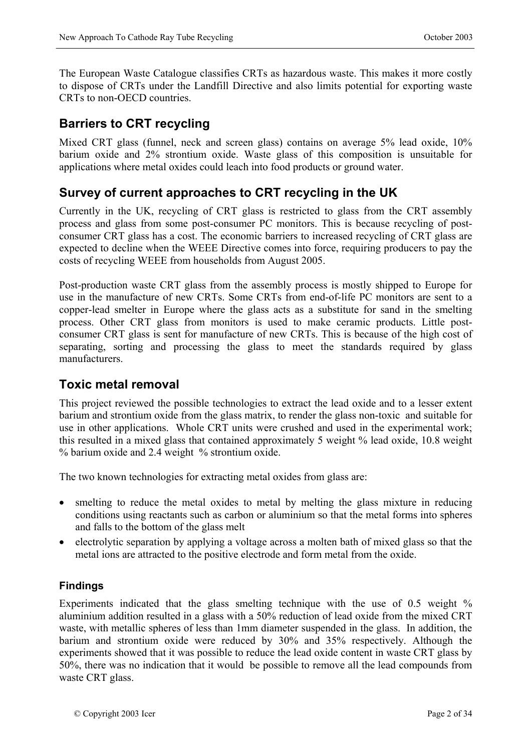The European Waste Catalogue classifies CRTs as hazardous waste. This makes it more costly to dispose of CRTs under the Landfill Directive and also limits potential for exporting waste CRTs to non-OECD countries.

## **Barriers to CRT recycling**

Mixed CRT glass (funnel, neck and screen glass) contains on average 5% lead oxide, 10% barium oxide and 2% strontium oxide. Waste glass of this composition is unsuitable for applications where metal oxides could leach into food products or ground water.

## **Survey of current approaches to CRT recycling in the UK**

Currently in the UK, recycling of CRT glass is restricted to glass from the CRT assembly process and glass from some post-consumer PC monitors. This is because recycling of postconsumer CRT glass has a cost. The economic barriers to increased recycling of CRT glass are expected to decline when the WEEE Directive comes into force, requiring producers to pay the costs of recycling WEEE from households from August 2005.

Post-production waste CRT glass from the assembly process is mostly shipped to Europe for use in the manufacture of new CRTs. Some CRTs from end-of-life PC monitors are sent to a copper-lead smelter in Europe where the glass acts as a substitute for sand in the smelting process. Other CRT glass from monitors is used to make ceramic products. Little postconsumer CRT glass is sent for manufacture of new CRTs. This is because of the high cost of separating, sorting and processing the glass to meet the standards required by glass manufacturers.

### **Toxic metal removal**

This project reviewed the possible technologies to extract the lead oxide and to a lesser extent barium and strontium oxide from the glass matrix, to render the glass non-toxic and suitable for use in other applications. Whole CRT units were crushed and used in the experimental work; this resulted in a mixed glass that contained approximately 5 weight % lead oxide, 10.8 weight % barium oxide and 2.4 weight % strontium oxide.

The two known technologies for extracting metal oxides from glass are:

- smelting to reduce the metal oxides to metal by melting the glass mixture in reducing conditions using reactants such as carbon or aluminium so that the metal forms into spheres and falls to the bottom of the glass melt
- electrolytic separation by applying a voltage across a molten bath of mixed glass so that the metal ions are attracted to the positive electrode and form metal from the oxide.

### **Findings**

Experiments indicated that the glass smelting technique with the use of 0.5 weight % aluminium addition resulted in a glass with a 50% reduction of lead oxide from the mixed CRT waste, with metallic spheres of less than 1mm diameter suspended in the glass. In addition, the barium and strontium oxide were reduced by 30% and 35% respectively. Although the experiments showed that it was possible to reduce the lead oxide content in waste CRT glass by 50%, there was no indication that it would be possible to remove all the lead compounds from waste CRT glass.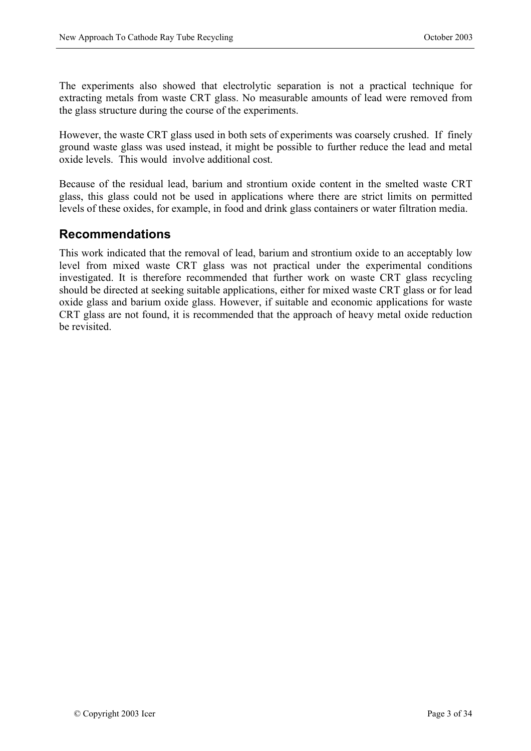The experiments also showed that electrolytic separation is not a practical technique for extracting metals from waste CRT glass. No measurable amounts of lead were removed from the glass structure during the course of the experiments.

However, the waste CRT glass used in both sets of experiments was coarsely crushed. If finely ground waste glass was used instead, it might be possible to further reduce the lead and metal oxide levels. This would involve additional cost.

Because of the residual lead, barium and strontium oxide content in the smelted waste CRT glass, this glass could not be used in applications where there are strict limits on permitted levels of these oxides, for example, in food and drink glass containers or water filtration media.

### **Recommendations**

This work indicated that the removal of lead, barium and strontium oxide to an acceptably low level from mixed waste CRT glass was not practical under the experimental conditions investigated. It is therefore recommended that further work on waste CRT glass recycling should be directed at seeking suitable applications, either for mixed waste CRT glass or for lead oxide glass and barium oxide glass. However, if suitable and economic applications for waste CRT glass are not found, it is recommended that the approach of heavy metal oxide reduction be revisited.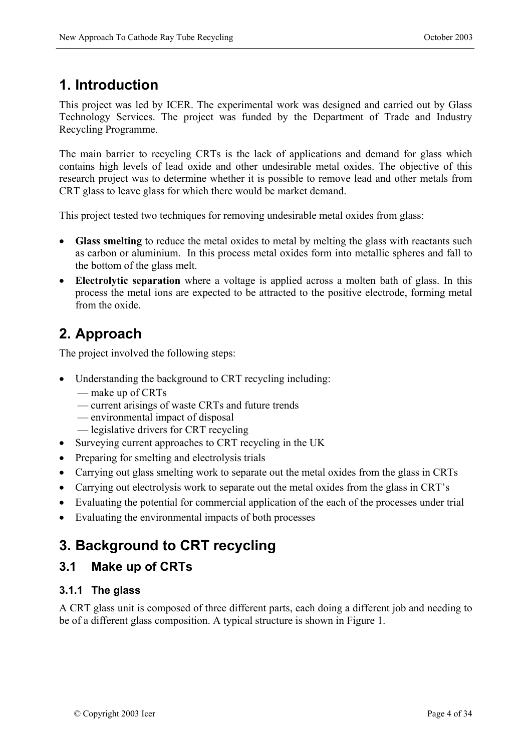# **1. Introduction**

This project was led by ICER. The experimental work was designed and carried out by Glass Technology Services. The project was funded by the Department of Trade and Industry Recycling Programme.

The main barrier to recycling CRTs is the lack of applications and demand for glass which contains high levels of lead oxide and other undesirable metal oxides. The objective of this research project was to determine whether it is possible to remove lead and other metals from CRT glass to leave glass for which there would be market demand.

This project tested two techniques for removing undesirable metal oxides from glass:

- **Glass smelting** to reduce the metal oxides to metal by melting the glass with reactants such as carbon or aluminium. In this process metal oxides form into metallic spheres and fall to the bottom of the glass melt.
- **Electrolytic separation** where a voltage is applied across a molten bath of glass. In this process the metal ions are expected to be attracted to the positive electrode, forming metal from the oxide.

# **2. Approach**

The project involved the following steps:

- Understanding the background to CRT recycling including:
	- make up of CRTs
	- current arisings of waste CRTs and future trends
	- environmental impact of disposal
	- legislative drivers for CRT recycling
- Surveying current approaches to CRT recycling in the UK
- Preparing for smelting and electrolysis trials
- Carrying out glass smelting work to separate out the metal oxides from the glass in CRTs
- Carrying out electrolysis work to separate out the metal oxides from the glass in CRT's
- Evaluating the potential for commercial application of the each of the processes under trial
- Evaluating the environmental impacts of both processes

# **3. Background to CRT recycling**

## **3.1 Make up of CRTs**

### **3.1.1 The glass**

A CRT glass unit is composed of three different parts, each doing a different job and needing to be of a different glass composition. A typical structure is shown in Figure 1.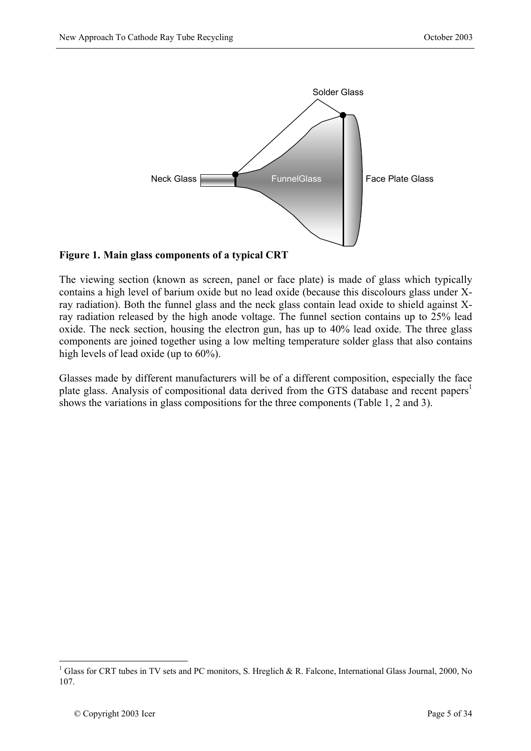

### **Figure 1. Main glass components of a typical CRT**

The viewing section (known as screen, panel or face plate) is made of glass which typically contains a high level of barium oxide but no lead oxide (because this discolours glass under Xray radiation). Both the funnel glass and the neck glass contain lead oxide to shield against Xray radiation released by the high anode voltage. The funnel section contains up to 25% lead oxide. The neck section, housing the electron gun, has up to 40% lead oxide. The three glass components are joined together using a low melting temperature solder glass that also contains high levels of lead oxide (up to 60%).

Glasses made by different manufacturers will be of a different composition, especially the face plate glass. Analysis of compositional data derived from the GTS database and recent papers<sup>1</sup> shows the variations in glass compositions for the three components (Table 1, 2 and 3).

1

<sup>&</sup>lt;sup>1</sup> Glass for CRT tubes in TV sets and PC monitors, S. Hreglich & R. Falcone, International Glass Journal, 2000, No 107.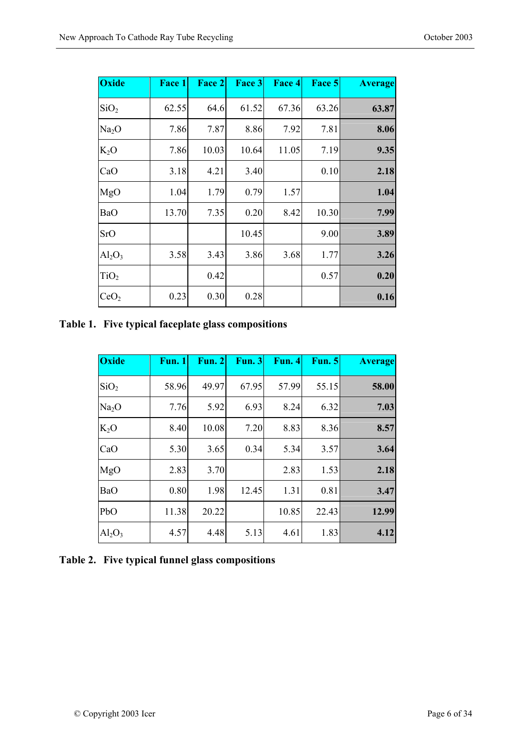| <b>Oxide</b>      | Face 1 | Face 2 | Face 3 | Face 4 | Face 5 | <b>Average</b> |
|-------------------|--------|--------|--------|--------|--------|----------------|
| SiO <sub>2</sub>  | 62.55  | 64.6   | 61.52  | 67.36  | 63.26  | 63.87          |
| Na <sub>2</sub> O | 7.86   | 7.87   | 8.86   | 7.92   | 7.81   | 8.06           |
| $K_2O$            | 7.86   | 10.03  | 10.64  | 11.05  | 7.19   | 9.35           |
| CaO               | 3.18   | 4.21   | 3.40   |        | 0.10   | 2.18           |
| MgO               | 1.04   | 1.79   | 0.79   | 1.57   |        | 1.04           |
| BaO               | 13.70  | 7.35   | 0.20   | 8.42   | 10.30  | 7.99           |
| <b>SrO</b>        |        |        | 10.45  |        | 9.00   | 3.89           |
| $Al_2O_3$         | 3.58   | 3.43   | 3.86   | 3.68   | 1.77   | 3.26           |
| TiO <sub>2</sub>  |        | 0.42   |        |        | 0.57   | 0.20           |
| CeO <sub>2</sub>  | 0.23   | 0.30   | 0.28   |        |        | 0.16           |

**Table 1. Five typical faceplate glass compositions** 

| <b>Oxide</b>      | Fun. 1 | <b>Fun. 2</b> | <b>Fun. 3</b> | <b>Fun. 4</b> | <b>Fun. 5</b> | <b>Average</b> |
|-------------------|--------|---------------|---------------|---------------|---------------|----------------|
| SiO <sub>2</sub>  | 58.96  | 49.97         | 67.95         | 57.99         | 55.15         | 58.00          |
| Na <sub>2</sub> O | 7.76   | 5.92          | 6.93          | 8.24          | 6.32          | 7.03           |
| $K_2O$            | 8.40   | 10.08         | 7.20          | 8.83          | 8.36          | 8.57           |
| CaO               | 5.30   | 3.65          | 0.34          | 5.34          | 3.57          | 3.64           |
| MgO               | 2.83   | 3.70          |               | 2.83          | 1.53          | 2.18           |
| <b>BaO</b>        | 0.80   | 1.98          | 12.45         | 1.31          | 0.81          | 3.47           |
| PbO               | 11.38  | 20.22         |               | 10.85         | 22.43         | 12.99          |
| $Al_2O_3$         | 4.57   | 4.48          | 5.13          | 4.61          | 1.83          | 4.12           |

### **Table 2. Five typical funnel glass compositions**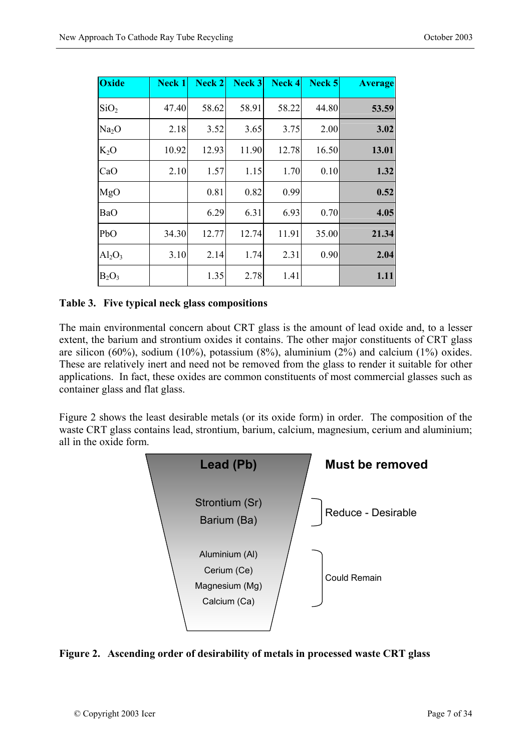| Oxide             | <b>Neck 1</b> | Neck 2 | Neck 3 | Neck 4 | Neck 5 | <b>Average</b> |
|-------------------|---------------|--------|--------|--------|--------|----------------|
| SiO <sub>2</sub>  | 47.40         | 58.62  | 58.91  | 58.22  | 44.80  | 53.59          |
| Na <sub>2</sub> O | 2.18          | 3.52   | 3.65   | 3.75   | 2.00   | 3.02           |
| $K_2O$            | 10.92         | 12.93  | 11.90  | 12.78  | 16.50  | 13.01          |
| CaO               | 2.10          | 1.57   | 1.15   | 1.70   | 0.10   | 1.32           |
| MgO               |               | 0.81   | 0.82   | 0.99   |        | 0.52           |
| <b>BaO</b>        |               | 6.29   | 6.31   | 6.93   | 0.70   | 4.05           |
| PbO               | 34.30         | 12.77  | 12.74  | 11.91  | 35.00  | 21.34          |
| $Al_2O_3$         | 3.10          | 2.14   | 1.74   | 2.31   | 0.90   | 2.04           |
| $B_2O_3$          |               | 1.35   | 2.78   | 1.41   |        | 1.11           |

#### **Table 3. Five typical neck glass compositions**

The main environmental concern about CRT glass is the amount of lead oxide and, to a lesser extent, the barium and strontium oxides it contains. The other major constituents of CRT glass are silicon (60%), sodium (10%), potassium (8%), aluminium (2%) and calcium (1%) oxides. These are relatively inert and need not be removed from the glass to render it suitable for other applications. In fact, these oxides are common constituents of most commercial glasses such as container glass and flat glass.

Figure 2 shows the least desirable metals (or its oxide form) in order. The composition of the waste CRT glass contains lead, strontium, barium, calcium, magnesium, cerium and aluminium; all in the oxide form.



#### **Figure 2. Ascending order of desirability of metals in processed waste CRT glass**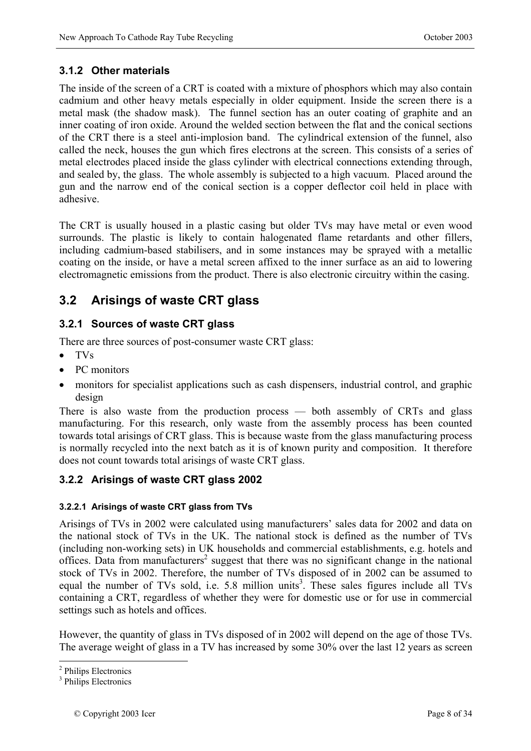### **3.1.2 Other materials**

The inside of the screen of a CRT is coated with a mixture of phosphors which may also contain cadmium and other heavy metals especially in older equipment. Inside the screen there is a metal mask (the shadow mask). The funnel section has an outer coating of graphite and an inner coating of iron oxide. Around the welded section between the flat and the conical sections of the CRT there is a steel anti-implosion band. The cylindrical extension of the funnel, also called the neck, houses the gun which fires electrons at the screen. This consists of a series of metal electrodes placed inside the glass cylinder with electrical connections extending through, and sealed by, the glass. The whole assembly is subjected to a high vacuum. Placed around the gun and the narrow end of the conical section is a copper deflector coil held in place with adhesive.

The CRT is usually housed in a plastic casing but older TVs may have metal or even wood surrounds. The plastic is likely to contain halogenated flame retardants and other fillers, including cadmium-based stabilisers, and in some instances may be sprayed with a metallic coating on the inside, or have a metal screen affixed to the inner surface as an aid to lowering electromagnetic emissions from the product. There is also electronic circuitry within the casing.

# **3.2 Arisings of waste CRT glass**

### **3.2.1 Sources of waste CRT glass**

There are three sources of post-consumer waste CRT glass:

- TVs
- PC monitors
- monitors for specialist applications such as cash dispensers, industrial control, and graphic design

There is also waste from the production process — both assembly of CRTs and glass manufacturing. For this research, only waste from the assembly process has been counted towards total arisings of CRT glass. This is because waste from the glass manufacturing process is normally recycled into the next batch as it is of known purity and composition. It therefore does not count towards total arisings of waste CRT glass.

### **3.2.2 Arisings of waste CRT glass 2002**

### **3.2.2.1 Arisings of waste CRT glass from TVs**

Arisings of TVs in 2002 were calculated using manufacturers' sales data for 2002 and data on the national stock of TVs in the UK. The national stock is defined as the number of TVs (including non-working sets) in UK households and commercial establishments, e.g. hotels and offices. Data from manufacturers<sup>2</sup> suggest that there was no significant change in the national stock of TVs in 2002. Therefore, the number of TVs disposed of in 2002 can be assumed to equal the number of TVs sold, i.e.  $5.8$  million units<sup>3</sup>. These sales figures include all TVs containing a CRT, regardless of whether they were for domestic use or for use in commercial settings such as hotels and offices.

However, the quantity of glass in TVs disposed of in 2002 will depend on the age of those TVs. The average weight of glass in a TV has increased by some 30% over the last 12 years as screen

<sup>1</sup> <sup>2</sup> Philips Electronics

<sup>&</sup>lt;sup>3</sup> Philips Electronics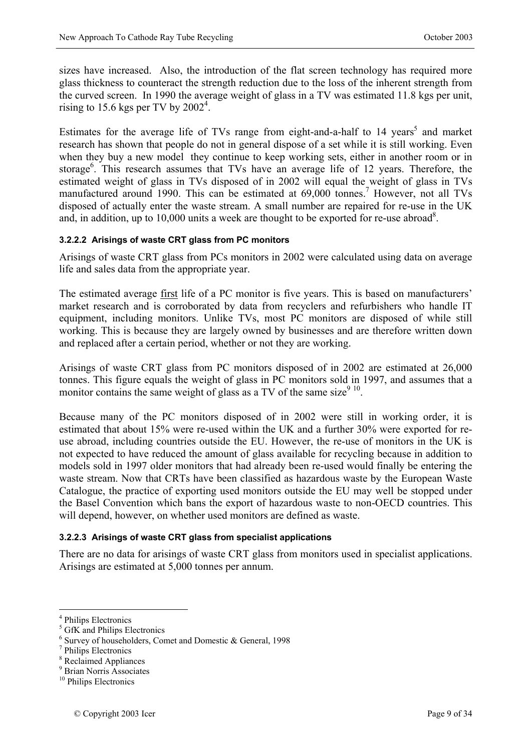sizes have increased. Also, the introduction of the flat screen technology has required more glass thickness to counteract the strength reduction due to the loss of the inherent strength from the curved screen. In 1990 the average weight of glass in a TV was estimated 11.8 kgs per unit, rising to 15.6 kgs per TV by  $2002^4$ .

Estimates for the average life of TVs range from eight-and-a-half to 14 years<sup>5</sup> and market research has shown that people do not in general dispose of a set while it is still working. Even when they buy a new model they continue to keep working sets, either in another room or in storage<sup>6</sup>. This research assumes that TVs have an average life of 12 years. Therefore, the estimated weight of glass in TVs disposed of in 2002 will equal the weight of glass in TVs manufactured around 1990. This can be estimated at 69,000 tonnes.<sup>7</sup> However, not all TVs disposed of actually enter the waste stream. A small number are repaired for re-use in the UK and, in addition, up to  $10,000$  units a week are thought to be exported for re-use abroad<sup>8</sup>.

#### **3.2.2.2 Arisings of waste CRT glass from PC monitors**

Arisings of waste CRT glass from PCs monitors in 2002 were calculated using data on average life and sales data from the appropriate year.

The estimated average first life of a PC monitor is five years. This is based on manufacturers' market research and is corroborated by data from recyclers and refurbishers who handle IT equipment, including monitors. Unlike TVs, most PC monitors are disposed of while still working. This is because they are largely owned by businesses and are therefore written down and replaced after a certain period, whether or not they are working.

Arisings of waste CRT glass from PC monitors disposed of in 2002 are estimated at 26,000 tonnes. This figure equals the weight of glass in PC monitors sold in 1997, and assumes that a monitor contains the same weight of glass as a TV of the same size  $9^{9}$ <sup>10</sup>.

Because many of the PC monitors disposed of in 2002 were still in working order, it is estimated that about 15% were re-used within the UK and a further 30% were exported for reuse abroad, including countries outside the EU. However, the re-use of monitors in the UK is not expected to have reduced the amount of glass available for recycling because in addition to models sold in 1997 older monitors that had already been re-used would finally be entering the waste stream. Now that CRTs have been classified as hazardous waste by the European Waste Catalogue, the practice of exporting used monitors outside the EU may well be stopped under the Basel Convention which bans the export of hazardous waste to non-OECD countries. This will depend, however, on whether used monitors are defined as waste.

#### **3.2.2.3 Arisings of waste CRT glass from specialist applications**

There are no data for arisings of waste CRT glass from monitors used in specialist applications. Arisings are estimated at 5,000 tonnes per annum.

1

<sup>4</sup> Philips Electronics

<sup>5</sup> GfK and Philips Electronics

<sup>6</sup> Survey of householders, Comet and Domestic & General, 1998

<sup>7</sup> Philips Electronics

<sup>8</sup> Reclaimed Appliances

<sup>9</sup> Brian Norris Associates

<sup>&</sup>lt;sup>10</sup> Philips Electronics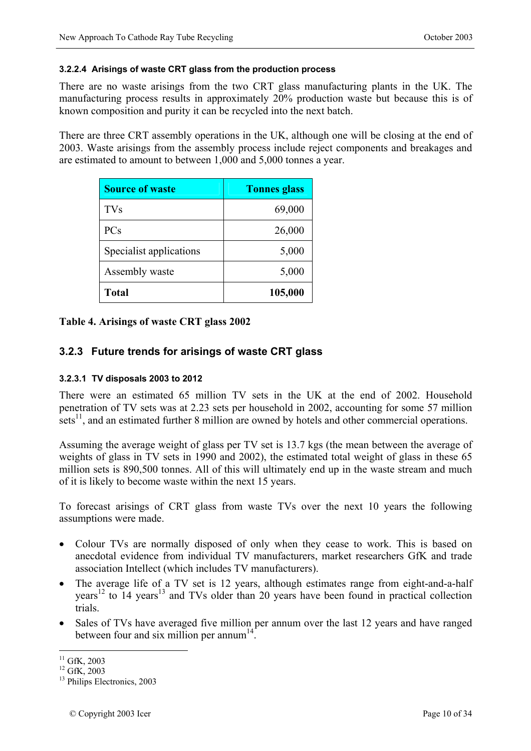#### **3.2.2.4 Arisings of waste CRT glass from the production process**

There are no waste arisings from the two CRT glass manufacturing plants in the UK. The manufacturing process results in approximately 20% production waste but because this is of known composition and purity it can be recycled into the next batch.

There are three CRT assembly operations in the UK, although one will be closing at the end of 2003. Waste arisings from the assembly process include reject components and breakages and are estimated to amount to between 1,000 and 5,000 tonnes a year.

| <b>Source of waste</b>  | <b>Tonnes glass</b> |
|-------------------------|---------------------|
| <b>TVs</b>              | 69,000              |
| <b>PCs</b>              | 26,000              |
| Specialist applications | 5,000               |
| Assembly waste          | 5,000               |
| <b>Total</b>            | 105,000             |

### **Table 4. Arisings of waste CRT glass 2002**

### **3.2.3 Future trends for arisings of waste CRT glass**

#### **3.2.3.1 TV disposals 2003 to 2012**

There were an estimated 65 million TV sets in the UK at the end of 2002. Household penetration of TV sets was at 2.23 sets per household in 2002, accounting for some 57 million sets<sup>11</sup>, and an estimated further 8 million are owned by hotels and other commercial operations.

Assuming the average weight of glass per TV set is 13.7 kgs (the mean between the average of weights of glass in TV sets in 1990 and 2002), the estimated total weight of glass in these 65 million sets is 890,500 tonnes. All of this will ultimately end up in the waste stream and much of it is likely to become waste within the next 15 years.

To forecast arisings of CRT glass from waste TVs over the next 10 years the following assumptions were made.

- Colour TVs are normally disposed of only when they cease to work. This is based on anecdotal evidence from individual TV manufacturers, market researchers GfK and trade association Intellect (which includes TV manufacturers).
- The average life of a TV set is 12 years, although estimates range from eight-and-a-half years<sup>12</sup> to  $14$  years<sup>13</sup> and TVs older than 20 years have been found in practical collection trials.
- Sales of TVs have averaged five million per annum over the last 12 years and have ranged between four and six million per annum<sup>14</sup>.

1

 $^{11}_{12}$  GfK, 2003<br> $^{12}$  GfK, 2003

 $13$  Philips Electronics, 2003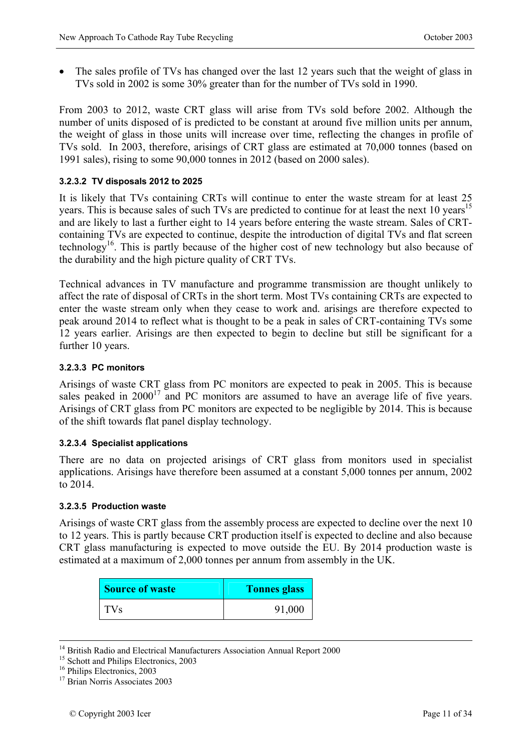• The sales profile of TVs has changed over the last 12 years such that the weight of glass in TVs sold in 2002 is some 30% greater than for the number of TVs sold in 1990.

From 2003 to 2012, waste CRT glass will arise from TVs sold before 2002. Although the number of units disposed of is predicted to be constant at around five million units per annum, the weight of glass in those units will increase over time, reflecting the changes in profile of TVs sold. In 2003, therefore, arisings of CRT glass are estimated at 70,000 tonnes (based on 1991 sales), rising to some 90,000 tonnes in 2012 (based on 2000 sales).

### **3.2.3.2 TV disposals 2012 to 2025**

It is likely that TVs containing CRTs will continue to enter the waste stream for at least 25 years. This is because sales of such TVs are predicted to continue for at least the next 10 years<sup>15</sup> and are likely to last a further eight to 14 years before entering the waste stream. Sales of CRTcontaining TVs are expected to continue, despite the introduction of digital TVs and flat screen technology<sup>16</sup>. This is partly because of the higher cost of new technology but also because of the durability and the high picture quality of CRT TVs.

Technical advances in TV manufacture and programme transmission are thought unlikely to affect the rate of disposal of CRTs in the short term. Most TVs containing CRTs are expected to enter the waste stream only when they cease to work and. arisings are therefore expected to peak around 2014 to reflect what is thought to be a peak in sales of CRT-containing TVs some 12 years earlier. Arisings are then expected to begin to decline but still be significant for a further 10 years.

#### **3.2.3.3 PC monitors**

Arisings of waste CRT glass from PC monitors are expected to peak in 2005. This is because sales peaked in  $2000^{17}$  and PC monitors are assumed to have an average life of five years. Arisings of CRT glass from PC monitors are expected to be negligible by 2014. This is because of the shift towards flat panel display technology.

#### **3.2.3.4 Specialist applications**

There are no data on projected arisings of CRT glass from monitors used in specialist applications. Arisings have therefore been assumed at a constant 5,000 tonnes per annum, 2002 to 2014.

#### **3.2.3.5 Production waste**

Arisings of waste CRT glass from the assembly process are expected to decline over the next 10 to 12 years. This is partly because CRT production itself is expected to decline and also because CRT glass manufacturing is expected to move outside the EU. By 2014 production waste is estimated at a maximum of 2,000 tonnes per annum from assembly in the UK.

| <b>Source of waste</b> | <b>Tonnes glass</b> |
|------------------------|---------------------|
| TV <sub>S</sub>        | 91,000              |

<sup>&</sup>lt;sup>14</sup> British Radio and Electrical Manufacturers Association Annual Report 2000<sup>15</sup> Schott and Philips Electronics, 2003

<sup>&</sup>lt;sup>16</sup> Philips Electronics, 2003

<sup>&</sup>lt;sup>17</sup> Brian Norris Associates 2003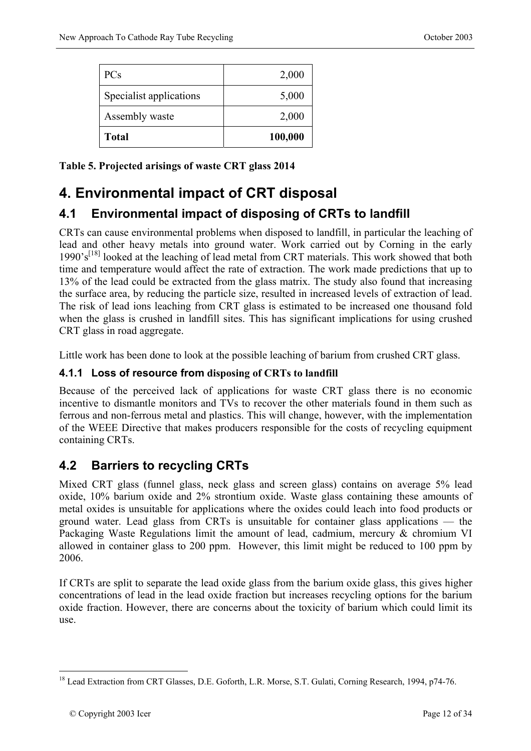| <b>PCs</b>              | 2,000   |
|-------------------------|---------|
| Specialist applications | 5,000   |
| Assembly waste          | 2,000   |
| <b>Total</b>            | 100,000 |

**Table 5. Projected arisings of waste CRT glass 2014** 

# **4. Environmental impact of CRT disposal**

# **4.1 Environmental impact of disposing of CRTs to landfill**

CRTs can cause environmental problems when disposed to landfill, in particular the leaching of lead and other heavy metals into ground water. Work carried out by Corning in the early  $1990's^{[18]}$  looked at the leaching of lead metal from CRT materials. This work showed that both time and temperature would affect the rate of extraction. The work made predictions that up to 13% of the lead could be extracted from the glass matrix. The study also found that increasing the surface area, by reducing the particle size, resulted in increased levels of extraction of lead. The risk of lead ions leaching from CRT glass is estimated to be increased one thousand fold when the glass is crushed in landfill sites. This has significant implications for using crushed CRT glass in road aggregate.

Little work has been done to look at the possible leaching of barium from crushed CRT glass.

### **4.1.1 Loss of resource from disposing of CRTs to landfill**

Because of the perceived lack of applications for waste CRT glass there is no economic incentive to dismantle monitors and TVs to recover the other materials found in them such as ferrous and non-ferrous metal and plastics. This will change, however, with the implementation of the WEEE Directive that makes producers responsible for the costs of recycling equipment containing CRTs.

## **4.2 Barriers to recycling CRTs**

Mixed CRT glass (funnel glass, neck glass and screen glass) contains on average 5% lead oxide, 10% barium oxide and 2% strontium oxide. Waste glass containing these amounts of metal oxides is unsuitable for applications where the oxides could leach into food products or ground water. Lead glass from CRTs is unsuitable for container glass applications — the Packaging Waste Regulations limit the amount of lead, cadmium, mercury & chromium VI allowed in container glass to 200 ppm. However, this limit might be reduced to 100 ppm by 2006.

If CRTs are split to separate the lead oxide glass from the barium oxide glass, this gives higher concentrations of lead in the lead oxide fraction but increases recycling options for the barium oxide fraction. However, there are concerns about the toxicity of barium which could limit its use.

1

<sup>&</sup>lt;sup>18</sup> Lead Extraction from CRT Glasses, D.E. Goforth, L.R. Morse, S.T. Gulati, Corning Research, 1994, p74-76.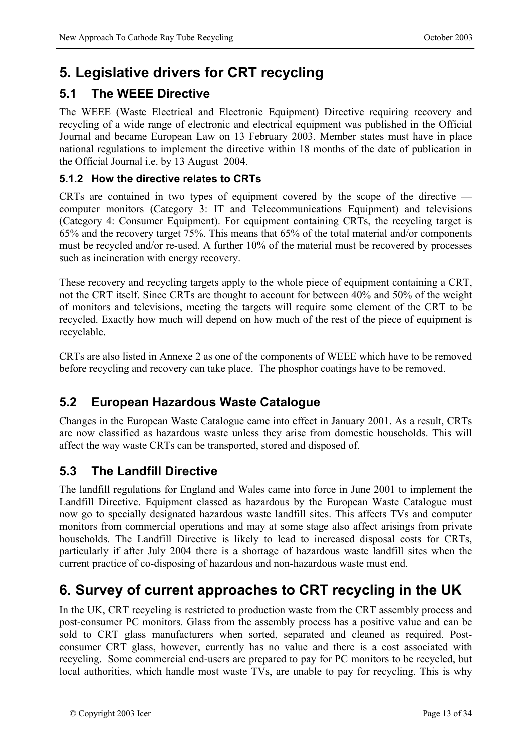# **5. Legislative drivers for CRT recycling**

## **5.1 The WEEE Directive**

The WEEE (Waste Electrical and Electronic Equipment) Directive requiring recovery and recycling of a wide range of electronic and electrical equipment was published in the Official Journal and became European Law on 13 February 2003. Member states must have in place national regulations to implement the directive within 18 months of the date of publication in the Official Journal i.e. by 13 August 2004.

### **5.1.2 How the directive relates to CRTs**

CRTs are contained in two types of equipment covered by the scope of the directive computer monitors (Category 3: IT and Telecommunications Equipment) and televisions (Category 4: Consumer Equipment). For equipment containing CRTs, the recycling target is 65% and the recovery target 75%. This means that 65% of the total material and/or components must be recycled and/or re-used. A further 10% of the material must be recovered by processes such as incineration with energy recovery.

These recovery and recycling targets apply to the whole piece of equipment containing a CRT, not the CRT itself. Since CRTs are thought to account for between 40% and 50% of the weight of monitors and televisions, meeting the targets will require some element of the CRT to be recycled. Exactly how much will depend on how much of the rest of the piece of equipment is recyclable.

CRTs are also listed in Annexe 2 as one of the components of WEEE which have to be removed before recycling and recovery can take place. The phosphor coatings have to be removed.

## **5.2 European Hazardous Waste Catalogue**

Changes in the European Waste Catalogue came into effect in January 2001. As a result, CRTs are now classified as hazardous waste unless they arise from domestic households. This will affect the way waste CRTs can be transported, stored and disposed of.

### **5.3 The Landfill Directive**

The landfill regulations for England and Wales came into force in June 2001 to implement the Landfill Directive. Equipment classed as hazardous by the European Waste Catalogue must now go to specially designated hazardous waste landfill sites. This affects TVs and computer monitors from commercial operations and may at some stage also affect arisings from private households. The Landfill Directive is likely to lead to increased disposal costs for CRTs, particularly if after July 2004 there is a shortage of hazardous waste landfill sites when the current practice of co-disposing of hazardous and non-hazardous waste must end.

# **6. Survey of current approaches to CRT recycling in the UK**

In the UK, CRT recycling is restricted to production waste from the CRT assembly process and post-consumer PC monitors. Glass from the assembly process has a positive value and can be sold to CRT glass manufacturers when sorted, separated and cleaned as required. Postconsumer CRT glass, however, currently has no value and there is a cost associated with recycling. Some commercial end-users are prepared to pay for PC monitors to be recycled, but local authorities, which handle most waste TVs, are unable to pay for recycling. This is why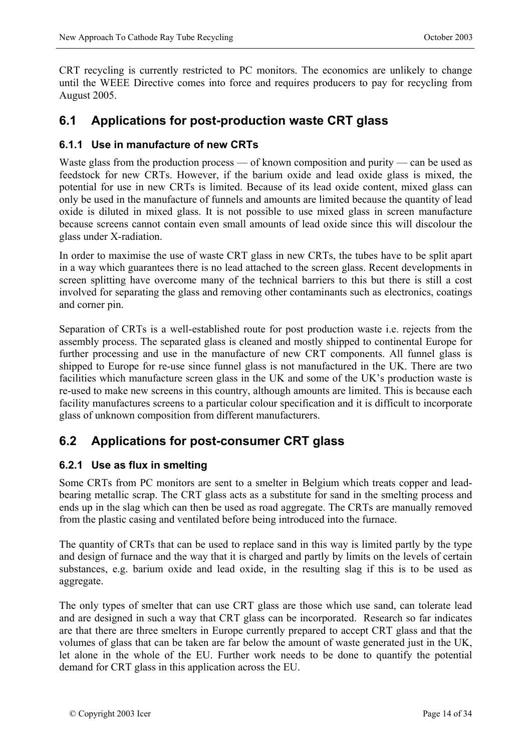CRT recycling is currently restricted to PC monitors. The economics are unlikely to change until the WEEE Directive comes into force and requires producers to pay for recycling from August 2005.

### **6.1 Applications for post-production waste CRT glass**

### **6.1.1 Use in manufacture of new CRTs**

Waste glass from the production process — of known composition and purity — can be used as feedstock for new CRTs. However, if the barium oxide and lead oxide glass is mixed, the potential for use in new CRTs is limited. Because of its lead oxide content, mixed glass can only be used in the manufacture of funnels and amounts are limited because the quantity of lead oxide is diluted in mixed glass. It is not possible to use mixed glass in screen manufacture because screens cannot contain even small amounts of lead oxide since this will discolour the glass under X-radiation.

In order to maximise the use of waste CRT glass in new CRTs, the tubes have to be split apart in a way which guarantees there is no lead attached to the screen glass. Recent developments in screen splitting have overcome many of the technical barriers to this but there is still a cost involved for separating the glass and removing other contaminants such as electronics, coatings and corner pin.

Separation of CRTs is a well-established route for post production waste i.e. rejects from the assembly process. The separated glass is cleaned and mostly shipped to continental Europe for further processing and use in the manufacture of new CRT components. All funnel glass is shipped to Europe for re-use since funnel glass is not manufactured in the UK. There are two facilities which manufacture screen glass in the UK and some of the UK's production waste is re-used to make new screens in this country, although amounts are limited. This is because each facility manufactures screens to a particular colour specification and it is difficult to incorporate glass of unknown composition from different manufacturers.

### **6.2 Applications for post-consumer CRT glass**

### **6.2.1 Use as flux in smelting**

Some CRTs from PC monitors are sent to a smelter in Belgium which treats copper and leadbearing metallic scrap. The CRT glass acts as a substitute for sand in the smelting process and ends up in the slag which can then be used as road aggregate. The CRTs are manually removed from the plastic casing and ventilated before being introduced into the furnace.

The quantity of CRTs that can be used to replace sand in this way is limited partly by the type and design of furnace and the way that it is charged and partly by limits on the levels of certain substances, e.g. barium oxide and lead oxide, in the resulting slag if this is to be used as aggregate.

The only types of smelter that can use CRT glass are those which use sand, can tolerate lead and are designed in such a way that CRT glass can be incorporated. Research so far indicates are that there are three smelters in Europe currently prepared to accept CRT glass and that the volumes of glass that can be taken are far below the amount of waste generated just in the UK, let alone in the whole of the EU. Further work needs to be done to quantify the potential demand for CRT glass in this application across the EU.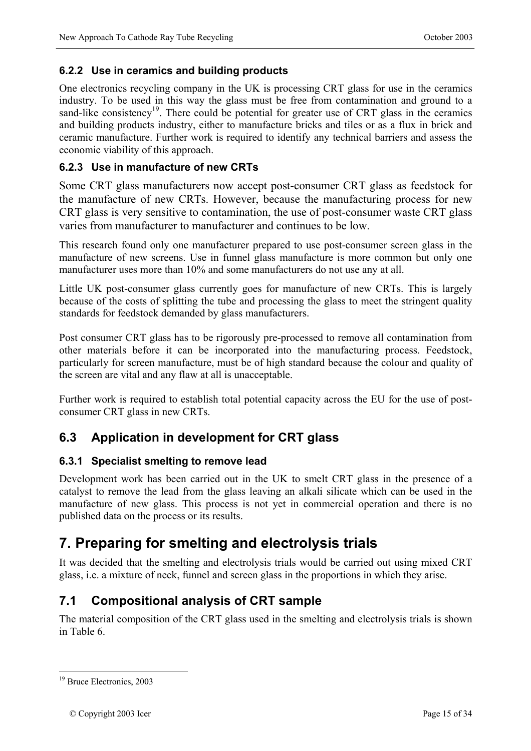### **6.2.2 Use in ceramics and building products**

One electronics recycling company in the UK is processing CRT glass for use in the ceramics industry. To be used in this way the glass must be free from contamination and ground to a sand-like consistency<sup>19</sup>. There could be potential for greater use of CRT glass in the ceramics and building products industry, either to manufacture bricks and tiles or as a flux in brick and ceramic manufacture. Further work is required to identify any technical barriers and assess the economic viability of this approach.

### **6.2.3 Use in manufacture of new CRTs**

Some CRT glass manufacturers now accept post-consumer CRT glass as feedstock for the manufacture of new CRTs. However, because the manufacturing process for new CRT glass is very sensitive to contamination, the use of post-consumer waste CRT glass varies from manufacturer to manufacturer and continues to be low.

This research found only one manufacturer prepared to use post-consumer screen glass in the manufacture of new screens. Use in funnel glass manufacture is more common but only one manufacturer uses more than 10% and some manufacturers do not use any at all.

Little UK post-consumer glass currently goes for manufacture of new CRTs. This is largely because of the costs of splitting the tube and processing the glass to meet the stringent quality standards for feedstock demanded by glass manufacturers.

Post consumer CRT glass has to be rigorously pre-processed to remove all contamination from other materials before it can be incorporated into the manufacturing process. Feedstock, particularly for screen manufacture, must be of high standard because the colour and quality of the screen are vital and any flaw at all is unacceptable.

Further work is required to establish total potential capacity across the EU for the use of postconsumer CRT glass in new CRTs.

### **6.3 Application in development for CRT glass**

#### **6.3.1 Specialist smelting to remove lead**

Development work has been carried out in the UK to smelt CRT glass in the presence of a catalyst to remove the lead from the glass leaving an alkali silicate which can be used in the manufacture of new glass. This process is not yet in commercial operation and there is no published data on the process or its results.

# **7. Preparing for smelting and electrolysis trials**

It was decided that the smelting and electrolysis trials would be carried out using mixed CRT glass, i.e. a mixture of neck, funnel and screen glass in the proportions in which they arise.

### **7.1 Compositional analysis of CRT sample**

The material composition of the CRT glass used in the smelting and electrolysis trials is shown in Table 6.

1

<sup>&</sup>lt;sup>19</sup> Bruce Electronics, 2003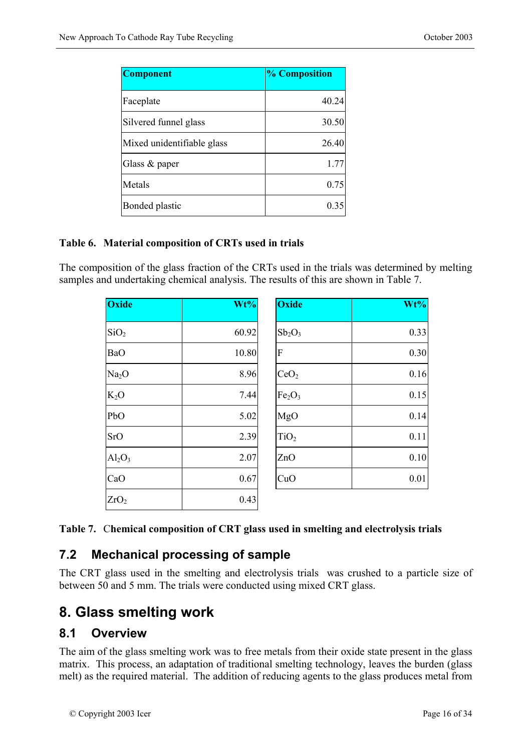| <b>Component</b>           | % Composition |
|----------------------------|---------------|
| Faceplate                  | 40.24         |
| Silvered funnel glass      | 30.50         |
| Mixed unidentifiable glass | 26.40         |
| Glass $&$ paper            | 1.77          |
| Metals                     | 0.75          |
| Bonded plastic             | 0.35          |

#### **Table 6. Material composition of CRTs used in trials**

The composition of the glass fraction of the CRTs used in the trials was determined by melting samples and undertaking chemical analysis. The results of this are shown in Table 7.

| Oxide             | Wt%   | <b>Oxide</b>                   | Wt%  |
|-------------------|-------|--------------------------------|------|
| SiO <sub>2</sub>  | 60.92 | $Sb_2O_3$                      | 0.33 |
| <b>BaO</b>        | 10.80 | F                              | 0.30 |
| Na <sub>2</sub> O | 8.96  | CeO <sub>2</sub>               | 0.16 |
| $K_2O$            | 7.44  | Fe <sub>2</sub> O <sub>3</sub> | 0.15 |
| PbO               | 5.02  | MgO                            | 0.14 |
| <b>SrO</b>        | 2.39  | TiO <sub>2</sub>               | 0.11 |
| $Al_2O_3$         | 2.07  | ZnO                            | 0.10 |
| CaO               | 0.67  | CuO                            | 0.01 |
| ZrO <sub>2</sub>  | 0.43  |                                |      |

|  |  | Table 7. Chemical composition of CRT glass used in smelting and electrolysis trials |
|--|--|-------------------------------------------------------------------------------------|
|  |  |                                                                                     |

### **7.2 Mechanical processing of sample**

The CRT glass used in the smelting and electrolysis trials was crushed to a particle size of between 50 and 5 mm. The trials were conducted using mixed CRT glass.

## **8. Glass smelting work**

### **8.1 Overview**

The aim of the glass smelting work was to free metals from their oxide state present in the glass matrix. This process, an adaptation of traditional smelting technology, leaves the burden (glass melt) as the required material. The addition of reducing agents to the glass produces metal from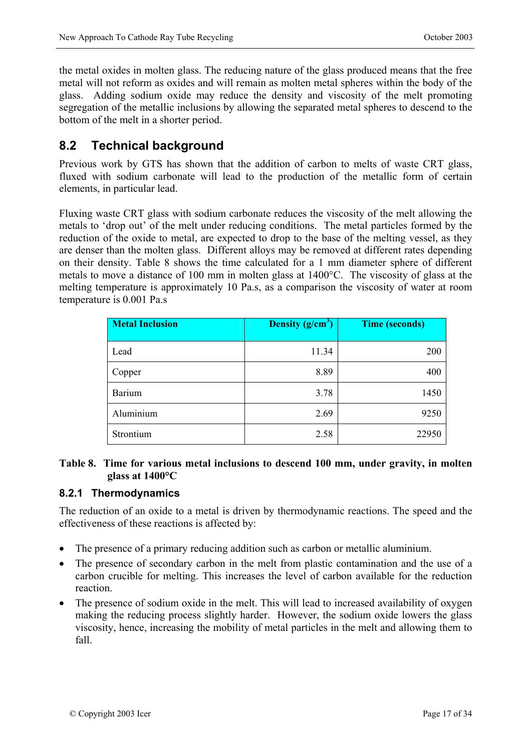the metal oxides in molten glass. The reducing nature of the glass produced means that the free metal will not reform as oxides and will remain as molten metal spheres within the body of the glass. Adding sodium oxide may reduce the density and viscosity of the melt promoting segregation of the metallic inclusions by allowing the separated metal spheres to descend to the bottom of the melt in a shorter period.

## **8.2 Technical background**

Previous work by GTS has shown that the addition of carbon to melts of waste CRT glass, fluxed with sodium carbonate will lead to the production of the metallic form of certain elements, in particular lead.

Fluxing waste CRT glass with sodium carbonate reduces the viscosity of the melt allowing the metals to 'drop out' of the melt under reducing conditions. The metal particles formed by the reduction of the oxide to metal, are expected to drop to the base of the melting vessel, as they are denser than the molten glass. Different alloys may be removed at different rates depending on their density. Table 8 shows the time calculated for a 1 mm diameter sphere of different metals to move a distance of 100 mm in molten glass at 1400°C. The viscosity of glass at the melting temperature is approximately 10 Pa.s, as a comparison the viscosity of water at room temperature is 0.001 Pa.s

| <b>Metal Inclusion</b> | Density (g/cm <sup>3</sup> ) | <b>Time (seconds)</b> |
|------------------------|------------------------------|-----------------------|
| Lead                   | 11.34                        | 200                   |
| Copper                 | 8.89                         | 400                   |
| <b>Barium</b>          | 3.78                         | 1450                  |
| Aluminium              | 2.69                         | 9250                  |
| Strontium              | 2.58                         | 22950                 |

### **Table 8. Time for various metal inclusions to descend 100 mm, under gravity, in molten glass at 1400°C**

### **8.2.1 Thermodynamics**

The reduction of an oxide to a metal is driven by thermodynamic reactions. The speed and the effectiveness of these reactions is affected by:

- The presence of a primary reducing addition such as carbon or metallic aluminium.
- The presence of secondary carbon in the melt from plastic contamination and the use of a carbon crucible for melting. This increases the level of carbon available for the reduction reaction.
- The presence of sodium oxide in the melt. This will lead to increased availability of oxygen making the reducing process slightly harder. However, the sodium oxide lowers the glass viscosity, hence, increasing the mobility of metal particles in the melt and allowing them to fall.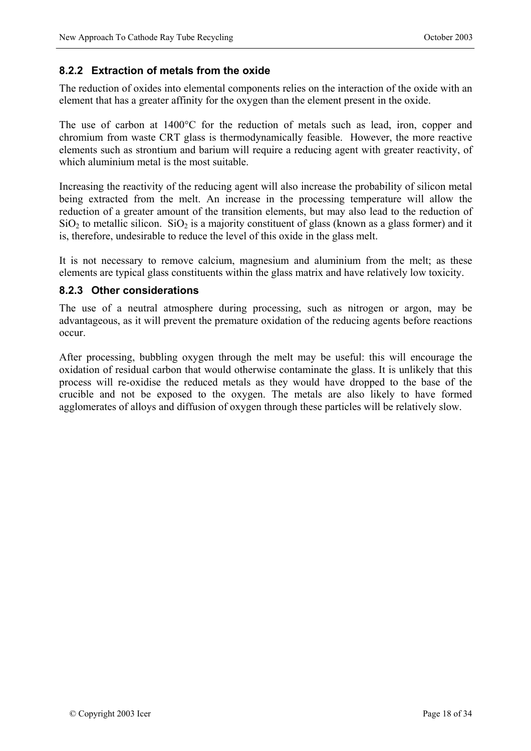### **8.2.2 Extraction of metals from the oxide**

The reduction of oxides into elemental components relies on the interaction of the oxide with an element that has a greater affinity for the oxygen than the element present in the oxide.

The use of carbon at 1400°C for the reduction of metals such as lead, iron, copper and chromium from waste CRT glass is thermodynamically feasible. However, the more reactive elements such as strontium and barium will require a reducing agent with greater reactivity, of which aluminium metal is the most suitable.

Increasing the reactivity of the reducing agent will also increase the probability of silicon metal being extracted from the melt. An increase in the processing temperature will allow the reduction of a greater amount of the transition elements, but may also lead to the reduction of  $SiO<sub>2</sub>$  to metallic silicon.  $SiO<sub>2</sub>$  is a majority constituent of glass (known as a glass former) and it is, therefore, undesirable to reduce the level of this oxide in the glass melt.

It is not necessary to remove calcium, magnesium and aluminium from the melt; as these elements are typical glass constituents within the glass matrix and have relatively low toxicity.

#### **8.2.3 Other considerations**

The use of a neutral atmosphere during processing, such as nitrogen or argon, may be advantageous, as it will prevent the premature oxidation of the reducing agents before reactions occur.

After processing, bubbling oxygen through the melt may be useful: this will encourage the oxidation of residual carbon that would otherwise contaminate the glass. It is unlikely that this process will re-oxidise the reduced metals as they would have dropped to the base of the crucible and not be exposed to the oxygen. The metals are also likely to have formed agglomerates of alloys and diffusion of oxygen through these particles will be relatively slow.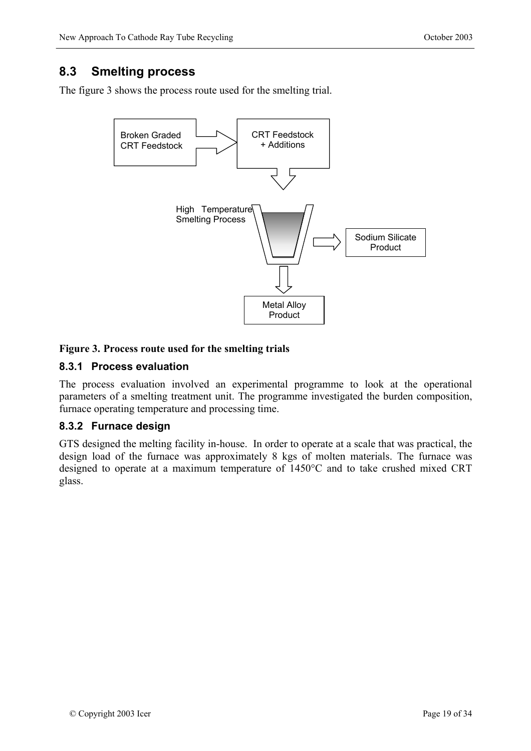### **8.3 Smelting process**

The figure 3 shows the process route used for the smelting trial.



### **Figure 3. Process route used for the smelting trials**

### **8.3.1 Process evaluation**

The process evaluation involved an experimental programme to look at the operational parameters of a smelting treatment unit. The programme investigated the burden composition, furnace operating temperature and processing time.

### **8.3.2 Furnace design**

GTS designed the melting facility in-house. In order to operate at a scale that was practical, the design load of the furnace was approximately 8 kgs of molten materials. The furnace was designed to operate at a maximum temperature of 1450°C and to take crushed mixed CRT glass.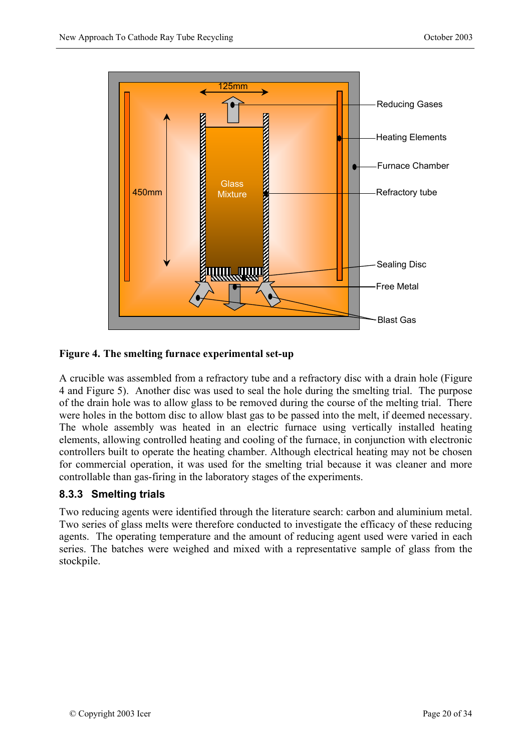

#### **Figure 4. The smelting furnace experimental set-up**

A crucible was assembled from a refractory tube and a refractory disc with a drain hole (Figure 4 and Figure 5). Another disc was used to seal the hole during the smelting trial. The purpose of the drain hole was to allow glass to be removed during the course of the melting trial. There were holes in the bottom disc to allow blast gas to be passed into the melt, if deemed necessary. The whole assembly was heated in an electric furnace using vertically installed heating elements, allowing controlled heating and cooling of the furnace, in conjunction with electronic controllers built to operate the heating chamber. Although electrical heating may not be chosen for commercial operation, it was used for the smelting trial because it was cleaner and more controllable than gas-firing in the laboratory stages of the experiments.

### **8.3.3 Smelting trials**

Two reducing agents were identified through the literature search: carbon and aluminium metal. Two series of glass melts were therefore conducted to investigate the efficacy of these reducing agents. The operating temperature and the amount of reducing agent used were varied in each series. The batches were weighed and mixed with a representative sample of glass from the stockpile.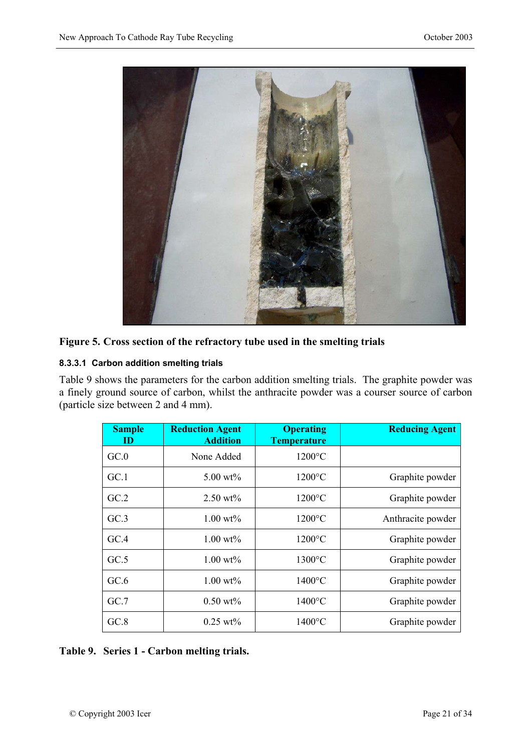

### **Figure 5. Cross section of the refractory tube used in the smelting trials**

#### **8.3.3.1 Carbon addition smelting trials**

Table 9 shows the parameters for the carbon addition smelting trials. The graphite powder was a finely ground source of carbon, whilst the anthracite powder was a courser source of carbon (particle size between 2 and 4 mm).

| <b>Sample</b><br>ID | <b>Reduction Agent</b><br><b>Addition</b> | <b>Operating</b><br><b>Temperature</b> | <b>Reducing Agent</b> |
|---------------------|-------------------------------------------|----------------------------------------|-----------------------|
| GC.0                | None Added                                | $1200^{\circ}$ C                       |                       |
| GC.1                | $5.00 \text{ wt\%}$                       | $1200^{\circ}$ C                       | Graphite powder       |
| GC.2                | $2.50 \text{ wt}$ %                       | $1200\textdegree C$                    | Graphite powder       |
| GC.3                | $1.00 \text{ wt\%}$                       | $1200\textdegree C$                    | Anthracite powder     |
| GCA                 | $1.00 \text{ wt\%}$                       | $1200\textdegree C$                    | Graphite powder       |
| GC.5                | $1.00 \text{ wt\%}$                       | $1300^{\circ}$ C                       | Graphite powder       |
| GC.6                | $1.00 \text{ wt\%}$                       | $1400\textdegree C$                    | Graphite powder       |
| GC.7                | $0.50 \text{ wt\%}$                       | $1400\textdegree C$                    | Graphite powder       |
| GC.8                | $0.25 \text{ wt}$ %                       | $1400^{\circ}$ C                       | Graphite powder       |

### **Table 9. Series 1 - Carbon melting trials.**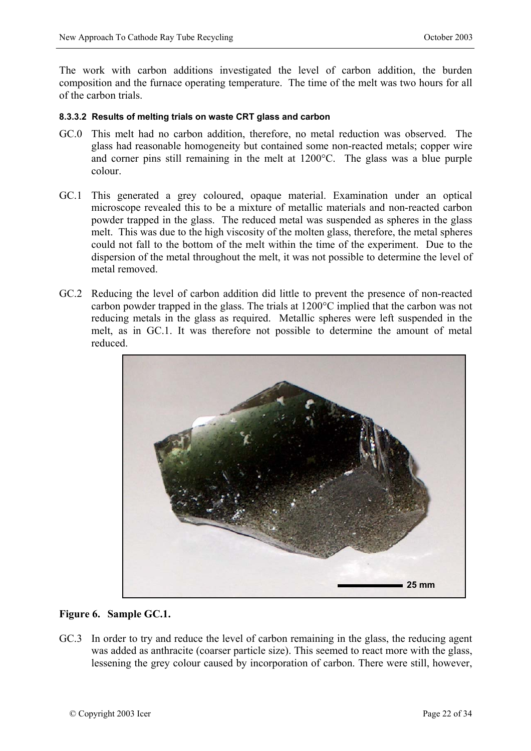The work with carbon additions investigated the level of carbon addition, the burden composition and the furnace operating temperature. The time of the melt was two hours for all of the carbon trials.

#### **8.3.3.2 Results of melting trials on waste CRT glass and carbon**

- GC.0 This melt had no carbon addition, therefore, no metal reduction was observed. The glass had reasonable homogeneity but contained some non-reacted metals; copper wire and corner pins still remaining in the melt at 1200°C. The glass was a blue purple colour.
- GC.1 This generated a grey coloured, opaque material. Examination under an optical microscope revealed this to be a mixture of metallic materials and non-reacted carbon powder trapped in the glass. The reduced metal was suspended as spheres in the glass melt. This was due to the high viscosity of the molten glass, therefore, the metal spheres could not fall to the bottom of the melt within the time of the experiment. Due to the dispersion of the metal throughout the melt, it was not possible to determine the level of metal removed.
- GC.2 Reducing the level of carbon addition did little to prevent the presence of non-reacted carbon powder trapped in the glass. The trials at 1200°C implied that the carbon was not reducing metals in the glass as required. Metallic spheres were left suspended in the melt, as in GC.1. It was therefore not possible to determine the amount of metal reduced.



#### **Figure 6. Sample GC.1.**

GC.3 In order to try and reduce the level of carbon remaining in the glass, the reducing agent was added as anthracite (coarser particle size). This seemed to react more with the glass, lessening the grey colour caused by incorporation of carbon. There were still, however,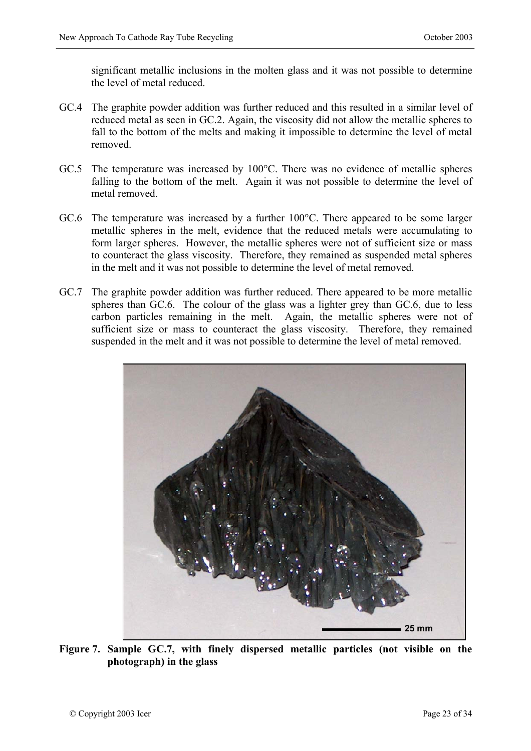significant metallic inclusions in the molten glass and it was not possible to determine the level of metal reduced.

- GC.4 The graphite powder addition was further reduced and this resulted in a similar level of reduced metal as seen in GC.2. Again, the viscosity did not allow the metallic spheres to fall to the bottom of the melts and making it impossible to determine the level of metal removed.
- GC.5 The temperature was increased by 100°C. There was no evidence of metallic spheres falling to the bottom of the melt. Again it was not possible to determine the level of metal removed.
- GC.6 The temperature was increased by a further 100°C. There appeared to be some larger metallic spheres in the melt, evidence that the reduced metals were accumulating to form larger spheres. However, the metallic spheres were not of sufficient size or mass to counteract the glass viscosity. Therefore, they remained as suspended metal spheres in the melt and it was not possible to determine the level of metal removed.
- GC.7 The graphite powder addition was further reduced. There appeared to be more metallic spheres than GC.6. The colour of the glass was a lighter grey than GC.6, due to less carbon particles remaining in the melt. Again, the metallic spheres were not of sufficient size or mass to counteract the glass viscosity. Therefore, they remained suspended in the melt and it was not possible to determine the level of metal removed.



**Figure 7. Sample GC.7, with finely dispersed metallic particles (not visible on the photograph) in the glass**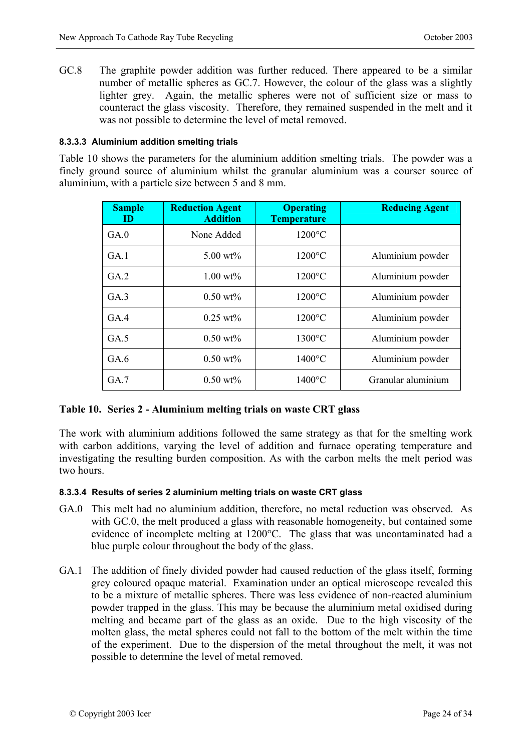GC.8 The graphite powder addition was further reduced. There appeared to be a similar number of metallic spheres as GC.7. However, the colour of the glass was a slightly lighter grey. Again, the metallic spheres were not of sufficient size or mass to counteract the glass viscosity. Therefore, they remained suspended in the melt and it was not possible to determine the level of metal removed.

#### **8.3.3.3 Aluminium addition smelting trials**

Table 10 shows the parameters for the aluminium addition smelting trials. The powder was a finely ground source of aluminium whilst the granular aluminium was a courser source of aluminium, with a particle size between 5 and 8 mm.

| <b>Sample</b><br>ID. | <b>Reduction Agent</b><br><b>Addition</b> | <b>Operating</b><br><b>Temperature</b> | <b>Reducing Agent</b> |
|----------------------|-------------------------------------------|----------------------------------------|-----------------------|
| GA.0                 | None Added                                | $1200^{\circ}$ C                       |                       |
| GA.1                 | $5.00 \text{ wt\%}$                       | $1200^{\circ}$ C                       | Aluminium powder      |
| GA.2                 | $1.00 \text{ wt\%}$                       | $1200^{\circ}$ C                       | Aluminium powder      |
| GA.3                 | $0.50 \text{ wt\%}$                       | $1200^{\circ}$ C                       | Aluminium powder      |
| GA.4                 | $0.25 \text{ wt\%}$                       | $1200^{\circ}$ C                       | Aluminium powder      |
| GA.5                 | $0.50 \text{ wt\%}$                       | $1300^{\circ}$ C                       | Aluminium powder      |
| GA.6                 | $0.50 \text{ wt\%}$                       | $1400^{\circ}$ C                       | Aluminium powder      |
| GA.7                 | $0.50 \text{ wt\%}$                       | $1400\textdegree C$                    | Granular aluminium    |

### **Table 10. Series 2 - Aluminium melting trials on waste CRT glass**

The work with aluminium additions followed the same strategy as that for the smelting work with carbon additions, varying the level of addition and furnace operating temperature and investigating the resulting burden composition. As with the carbon melts the melt period was two hours.

#### **8.3.3.4 Results of series 2 aluminium melting trials on waste CRT glass**

- GA.0 This melt had no aluminium addition, therefore, no metal reduction was observed. As with GC.0, the melt produced a glass with reasonable homogeneity, but contained some evidence of incomplete melting at 1200°C. The glass that was uncontaminated had a blue purple colour throughout the body of the glass.
- GA.1 The addition of finely divided powder had caused reduction of the glass itself, forming grey coloured opaque material. Examination under an optical microscope revealed this to be a mixture of metallic spheres. There was less evidence of non-reacted aluminium powder trapped in the glass. This may be because the aluminium metal oxidised during melting and became part of the glass as an oxide. Due to the high viscosity of the molten glass, the metal spheres could not fall to the bottom of the melt within the time of the experiment. Due to the dispersion of the metal throughout the melt, it was not possible to determine the level of metal removed.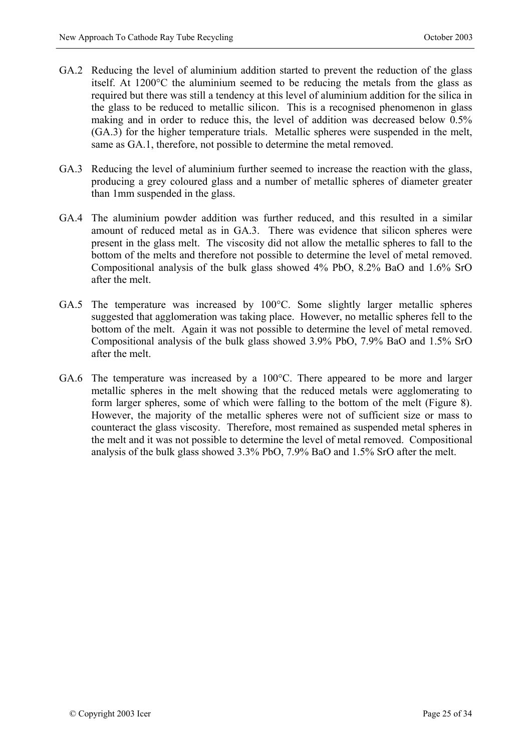- GA.2 Reducing the level of aluminium addition started to prevent the reduction of the glass itself. At 1200°C the aluminium seemed to be reducing the metals from the glass as required but there was still a tendency at this level of aluminium addition for the silica in the glass to be reduced to metallic silicon. This is a recognised phenomenon in glass making and in order to reduce this, the level of addition was decreased below 0.5% (GA.3) for the higher temperature trials. Metallic spheres were suspended in the melt, same as GA.1, therefore, not possible to determine the metal removed.
- GA.3 Reducing the level of aluminium further seemed to increase the reaction with the glass, producing a grey coloured glass and a number of metallic spheres of diameter greater than 1mm suspended in the glass.
- GA.4 The aluminium powder addition was further reduced, and this resulted in a similar amount of reduced metal as in GA.3. There was evidence that silicon spheres were present in the glass melt. The viscosity did not allow the metallic spheres to fall to the bottom of the melts and therefore not possible to determine the level of metal removed. Compositional analysis of the bulk glass showed 4% PbO, 8.2% BaO and 1.6% SrO after the melt.
- GA.5 The temperature was increased by 100°C. Some slightly larger metallic spheres suggested that agglomeration was taking place. However, no metallic spheres fell to the bottom of the melt. Again it was not possible to determine the level of metal removed. Compositional analysis of the bulk glass showed 3.9% PbO, 7.9% BaO and 1.5% SrO after the melt.
- GA.6 The temperature was increased by a 100°C. There appeared to be more and larger metallic spheres in the melt showing that the reduced metals were agglomerating to form larger spheres, some of which were falling to the bottom of the melt (Figure 8). However, the majority of the metallic spheres were not of sufficient size or mass to counteract the glass viscosity. Therefore, most remained as suspended metal spheres in the melt and it was not possible to determine the level of metal removed. Compositional analysis of the bulk glass showed 3.3% PbO, 7.9% BaO and 1.5% SrO after the melt.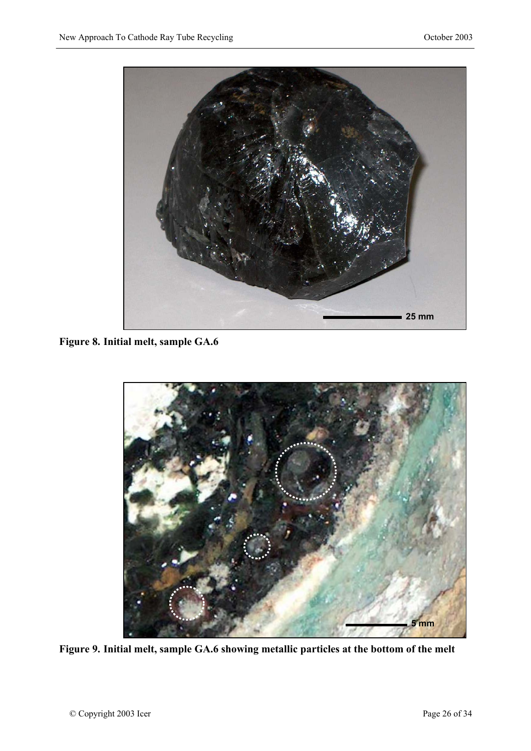

**Figure 8. Initial melt, sample GA.6** 



**Figure 9. Initial melt, sample GA.6 showing metallic particles at the bottom of the melt**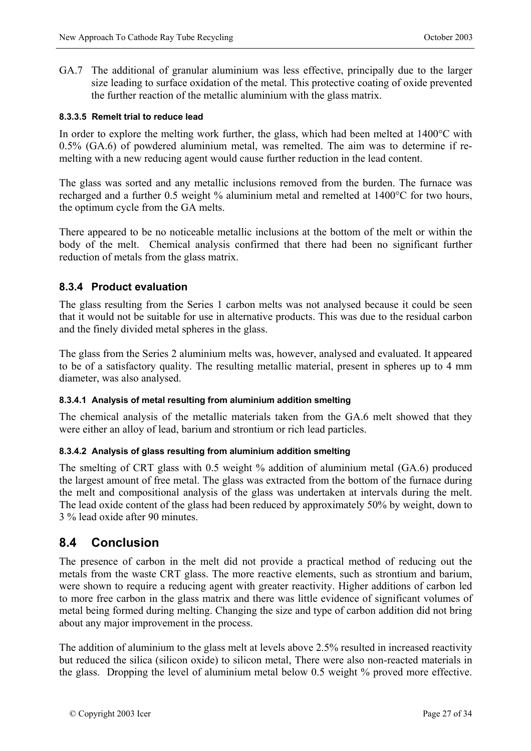GA.7 The additional of granular aluminium was less effective, principally due to the larger size leading to surface oxidation of the metal. This protective coating of oxide prevented the further reaction of the metallic aluminium with the glass matrix.

#### **8.3.3.5 Remelt trial to reduce lead**

In order to explore the melting work further, the glass, which had been melted at 1400°C with 0.5% (GA.6) of powdered aluminium metal, was remelted. The aim was to determine if remelting with a new reducing agent would cause further reduction in the lead content.

The glass was sorted and any metallic inclusions removed from the burden. The furnace was recharged and a further 0.5 weight % aluminium metal and remelted at 1400°C for two hours, the optimum cycle from the GA melts.

There appeared to be no noticeable metallic inclusions at the bottom of the melt or within the body of the melt. Chemical analysis confirmed that there had been no significant further reduction of metals from the glass matrix.

### **8.3.4 Product evaluation**

The glass resulting from the Series 1 carbon melts was not analysed because it could be seen that it would not be suitable for use in alternative products. This was due to the residual carbon and the finely divided metal spheres in the glass.

The glass from the Series 2 aluminium melts was, however, analysed and evaluated. It appeared to be of a satisfactory quality. The resulting metallic material, present in spheres up to 4 mm diameter, was also analysed.

#### **8.3.4.1 Analysis of metal resulting from aluminium addition smelting**

The chemical analysis of the metallic materials taken from the GA.6 melt showed that they were either an alloy of lead, barium and strontium or rich lead particles.

#### **8.3.4.2 Analysis of glass resulting from aluminium addition smelting**

The smelting of CRT glass with 0.5 weight % addition of aluminium metal (GA.6) produced the largest amount of free metal. The glass was extracted from the bottom of the furnace during the melt and compositional analysis of the glass was undertaken at intervals during the melt. The lead oxide content of the glass had been reduced by approximately 50% by weight, down to 3 % lead oxide after 90 minutes.

### **8.4 Conclusion**

The presence of carbon in the melt did not provide a practical method of reducing out the metals from the waste CRT glass. The more reactive elements, such as strontium and barium, were shown to require a reducing agent with greater reactivity. Higher additions of carbon led to more free carbon in the glass matrix and there was little evidence of significant volumes of metal being formed during melting. Changing the size and type of carbon addition did not bring about any major improvement in the process.

The addition of aluminium to the glass melt at levels above 2.5% resulted in increased reactivity but reduced the silica (silicon oxide) to silicon metal, There were also non-reacted materials in the glass. Dropping the level of aluminium metal below 0.5 weight % proved more effective.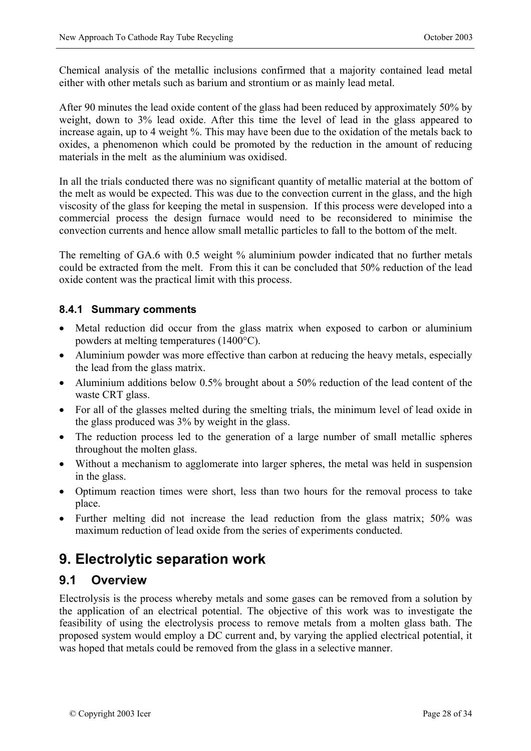Chemical analysis of the metallic inclusions confirmed that a majority contained lead metal either with other metals such as barium and strontium or as mainly lead metal.

After 90 minutes the lead oxide content of the glass had been reduced by approximately 50% by weight, down to 3% lead oxide. After this time the level of lead in the glass appeared to increase again, up to 4 weight %. This may have been due to the oxidation of the metals back to oxides, a phenomenon which could be promoted by the reduction in the amount of reducing materials in the melt as the aluminium was oxidised.

In all the trials conducted there was no significant quantity of metallic material at the bottom of the melt as would be expected. This was due to the convection current in the glass, and the high viscosity of the glass for keeping the metal in suspension. If this process were developed into a commercial process the design furnace would need to be reconsidered to minimise the convection currents and hence allow small metallic particles to fall to the bottom of the melt.

The remelting of GA.6 with 0.5 weight % aluminium powder indicated that no further metals could be extracted from the melt. From this it can be concluded that 50% reduction of the lead oxide content was the practical limit with this process.

### **8.4.1 Summary comments**

- Metal reduction did occur from the glass matrix when exposed to carbon or aluminium powders at melting temperatures (1400°C).
- Aluminium powder was more effective than carbon at reducing the heavy metals, especially the lead from the glass matrix.
- Aluminium additions below 0.5% brought about a 50% reduction of the lead content of the waste CRT glass.
- For all of the glasses melted during the smelting trials, the minimum level of lead oxide in the glass produced was 3% by weight in the glass.
- The reduction process led to the generation of a large number of small metallic spheres throughout the molten glass.
- Without a mechanism to agglomerate into larger spheres, the metal was held in suspension in the glass.
- Optimum reaction times were short, less than two hours for the removal process to take place.
- Further melting did not increase the lead reduction from the glass matrix; 50% was maximum reduction of lead oxide from the series of experiments conducted.

# **9. Electrolytic separation work**

### **9.1 Overview**

Electrolysis is the process whereby metals and some gases can be removed from a solution by the application of an electrical potential. The objective of this work was to investigate the feasibility of using the electrolysis process to remove metals from a molten glass bath. The proposed system would employ a DC current and, by varying the applied electrical potential, it was hoped that metals could be removed from the glass in a selective manner.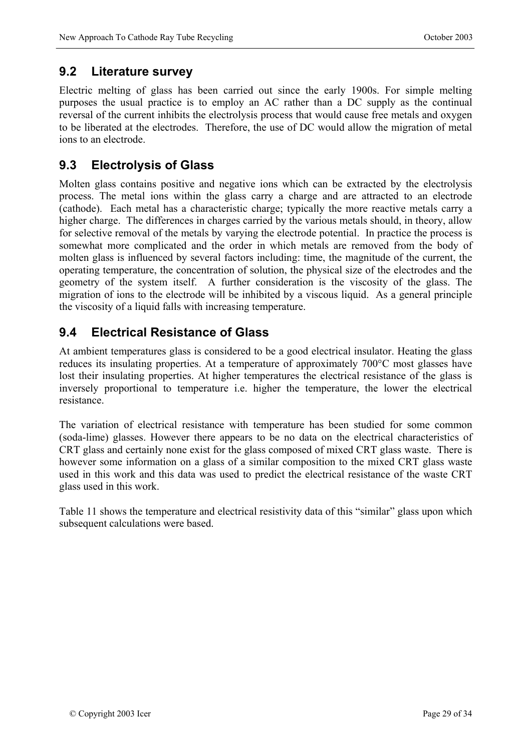## **9.2 Literature survey**

Electric melting of glass has been carried out since the early 1900s. For simple melting purposes the usual practice is to employ an AC rather than a DC supply as the continual reversal of the current inhibits the electrolysis process that would cause free metals and oxygen to be liberated at the electrodes. Therefore, the use of DC would allow the migration of metal ions to an electrode.

## **9.3 Electrolysis of Glass**

Molten glass contains positive and negative ions which can be extracted by the electrolysis process. The metal ions within the glass carry a charge and are attracted to an electrode (cathode). Each metal has a characteristic charge; typically the more reactive metals carry a higher charge. The differences in charges carried by the various metals should, in theory, allow for selective removal of the metals by varying the electrode potential. In practice the process is somewhat more complicated and the order in which metals are removed from the body of molten glass is influenced by several factors including: time, the magnitude of the current, the operating temperature, the concentration of solution, the physical size of the electrodes and the geometry of the system itself. A further consideration is the viscosity of the glass. The migration of ions to the electrode will be inhibited by a viscous liquid. As a general principle the viscosity of a liquid falls with increasing temperature.

# **9.4 Electrical Resistance of Glass**

At ambient temperatures glass is considered to be a good electrical insulator. Heating the glass reduces its insulating properties. At a temperature of approximately 700°C most glasses have lost their insulating properties. At higher temperatures the electrical resistance of the glass is inversely proportional to temperature i.e. higher the temperature, the lower the electrical resistance.

The variation of electrical resistance with temperature has been studied for some common (soda-lime) glasses. However there appears to be no data on the electrical characteristics of CRT glass and certainly none exist for the glass composed of mixed CRT glass waste. There is however some information on a glass of a similar composition to the mixed CRT glass waste used in this work and this data was used to predict the electrical resistance of the waste CRT glass used in this work.

Table 11 shows the temperature and electrical resistivity data of this "similar" glass upon which subsequent calculations were based.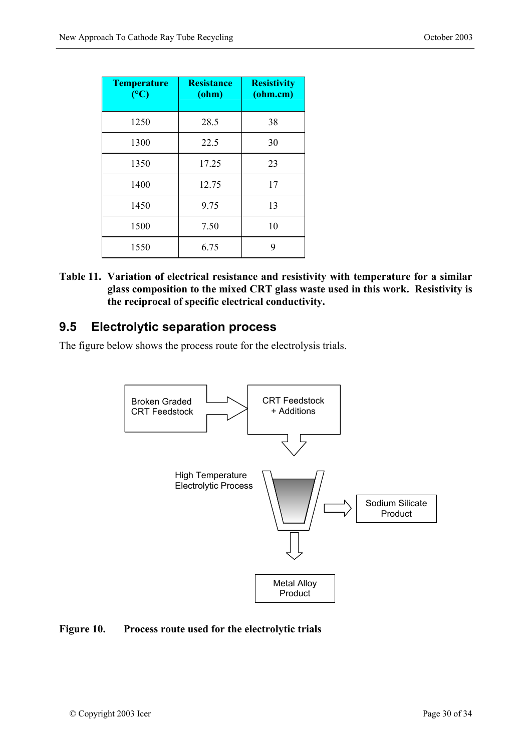| <b>Temperature</b><br>(C) | <b>Resistance</b><br>$(ohm)$ | <b>Resistivity</b><br>$(ohm.cm)$ |
|---------------------------|------------------------------|----------------------------------|
| 1250                      | 28.5                         | 38                               |
| 1300                      | 22.5                         | 30                               |
| 1350                      | 17.25                        | 23                               |
| 1400                      | 12.75                        | 17                               |
| 1450                      | 9.75                         | 13                               |
| 1500                      | 7.50<br>10                   |                                  |
| 1550                      | 6.75                         | 9                                |

**Table 11. Variation of electrical resistance and resistivity with temperature for a similar glass composition to the mixed CRT glass waste used in this work. Resistivity is the reciprocal of specific electrical conductivity.** 

### **9.5 Electrolytic separation process**

The figure below shows the process route for the electrolysis trials.



#### **Figure 10. Process route used for the electrolytic trials**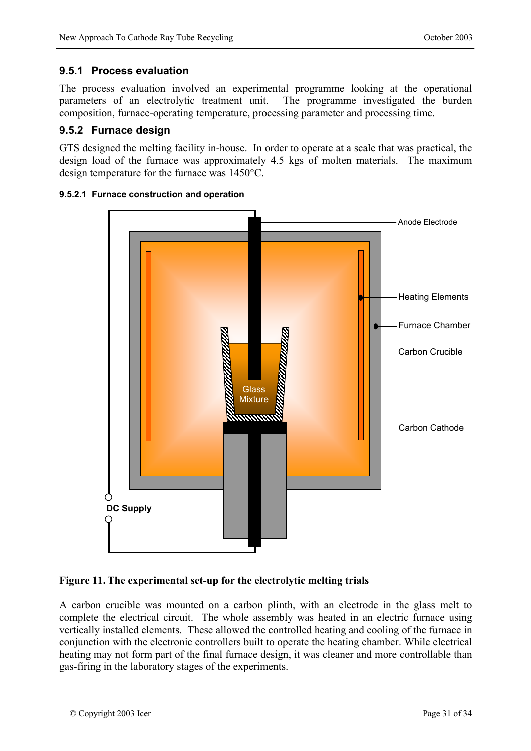### **9.5.1 Process evaluation**

The process evaluation involved an experimental programme looking at the operational parameters of an electrolytic treatment unit. The programme investigated the burden composition, furnace-operating temperature, processing parameter and processing time.

### **9.5.2 Furnace design**

GTS designed the melting facility in-house. In order to operate at a scale that was practical, the design load of the furnace was approximately 4.5 kgs of molten materials. The maximum design temperature for the furnace was 1450°C.



#### **9.5.2.1 Furnace construction and operation**

### **Figure 11. The experimental set-up for the electrolytic melting trials**

A carbon crucible was mounted on a carbon plinth, with an electrode in the glass melt to complete the electrical circuit. The whole assembly was heated in an electric furnace using vertically installed elements. These allowed the controlled heating and cooling of the furnace in conjunction with the electronic controllers built to operate the heating chamber. While electrical heating may not form part of the final furnace design, it was cleaner and more controllable than gas-firing in the laboratory stages of the experiments.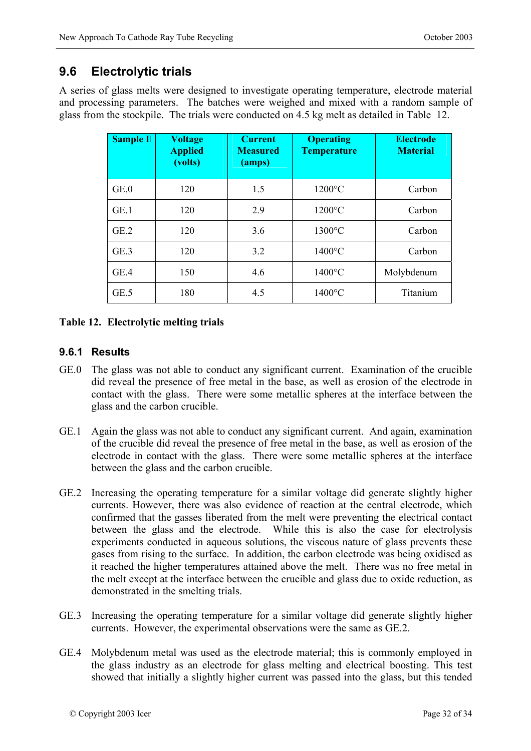## **9.6 Electrolytic trials**

A series of glass melts were designed to investigate operating temperature, electrode material and processing parameters. The batches were weighed and mixed with a random sample of glass from the stockpile. The trials were conducted on 4.5 kg melt as detailed in Table 12.

| <b>Sample II</b> | <b>Voltage</b><br><b>Applied</b><br>(volts) | <b>Current</b><br><b>Measured</b><br>(amps) | <b>Operating</b><br><b>Temperature</b> | <b>Electrode</b><br><b>Material</b> |
|------------------|---------------------------------------------|---------------------------------------------|----------------------------------------|-------------------------------------|
| GE.0             | 120                                         | 1.5                                         | $1200^{\circ}$ C                       | Carbon                              |
| GE.1             | 120                                         | 2.9                                         | $1200^{\circ}$ C                       | Carbon                              |
| GE.2             | 120                                         | 3.6                                         | 1300°C                                 | Carbon                              |
| GE.3             | 120                                         | 3.2                                         | $1400^{\circ}$ C                       | Carbon                              |
| GE.4             | 150                                         | 4.6                                         | $1400^{\circ}$ C                       | Molybdenum                          |
| GE.5             | 180                                         | 4.5                                         | $1400^{\circ}$ C                       | Titanium                            |

### **Table 12. Electrolytic melting trials**

### **9.6.1 Results**

- GE.0 The glass was not able to conduct any significant current. Examination of the crucible did reveal the presence of free metal in the base, as well as erosion of the electrode in contact with the glass. There were some metallic spheres at the interface between the glass and the carbon crucible.
- GE.1 Again the glass was not able to conduct any significant current. And again, examination of the crucible did reveal the presence of free metal in the base, as well as erosion of the electrode in contact with the glass. There were some metallic spheres at the interface between the glass and the carbon crucible.
- GE.2 Increasing the operating temperature for a similar voltage did generate slightly higher currents. However, there was also evidence of reaction at the central electrode, which confirmed that the gasses liberated from the melt were preventing the electrical contact between the glass and the electrode. While this is also the case for electrolysis experiments conducted in aqueous solutions, the viscous nature of glass prevents these gases from rising to the surface. In addition, the carbon electrode was being oxidised as it reached the higher temperatures attained above the melt. There was no free metal in the melt except at the interface between the crucible and glass due to oxide reduction, as demonstrated in the smelting trials.
- GE.3 Increasing the operating temperature for a similar voltage did generate slightly higher currents. However, the experimental observations were the same as GE.2.
- GE.4 Molybdenum metal was used as the electrode material; this is commonly employed in the glass industry as an electrode for glass melting and electrical boosting. This test showed that initially a slightly higher current was passed into the glass, but this tended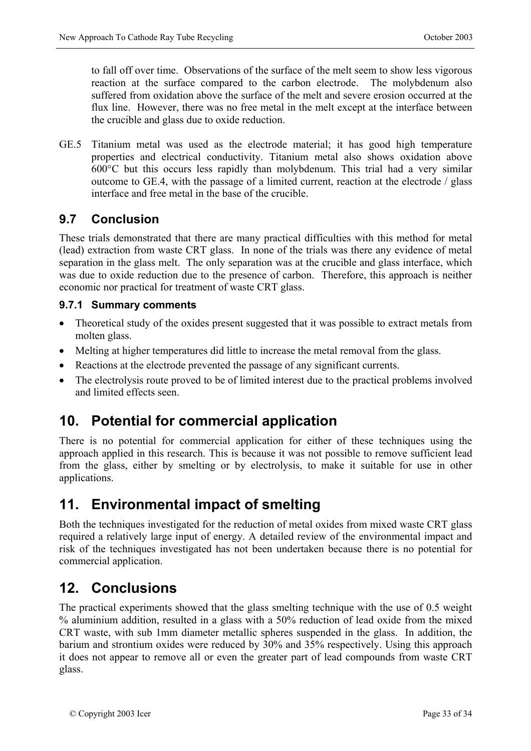to fall off over time. Observations of the surface of the melt seem to show less vigorous reaction at the surface compared to the carbon electrode. The molybdenum also suffered from oxidation above the surface of the melt and severe erosion occurred at the flux line. However, there was no free metal in the melt except at the interface between the crucible and glass due to oxide reduction.

GE.5 Titanium metal was used as the electrode material; it has good high temperature properties and electrical conductivity. Titanium metal also shows oxidation above 600°C but this occurs less rapidly than molybdenum. This trial had a very similar outcome to GE.4, with the passage of a limited current, reaction at the electrode / glass interface and free metal in the base of the crucible.

# **9.7 Conclusion**

These trials demonstrated that there are many practical difficulties with this method for metal (lead) extraction from waste CRT glass. In none of the trials was there any evidence of metal separation in the glass melt. The only separation was at the crucible and glass interface, which was due to oxide reduction due to the presence of carbon. Therefore, this approach is neither economic nor practical for treatment of waste CRT glass.

### **9.7.1 Summary comments**

- Theoretical study of the oxides present suggested that it was possible to extract metals from molten glass.
- Melting at higher temperatures did little to increase the metal removal from the glass.
- Reactions at the electrode prevented the passage of any significant currents.
- The electrolysis route proved to be of limited interest due to the practical problems involved and limited effects seen.

# **10. Potential for commercial application**

There is no potential for commercial application for either of these techniques using the approach applied in this research. This is because it was not possible to remove sufficient lead from the glass, either by smelting or by electrolysis, to make it suitable for use in other applications.

# **11. Environmental impact of smelting**

Both the techniques investigated for the reduction of metal oxides from mixed waste CRT glass required a relatively large input of energy. A detailed review of the environmental impact and risk of the techniques investigated has not been undertaken because there is no potential for commercial application.

# **12. Conclusions**

The practical experiments showed that the glass smelting technique with the use of 0.5 weight % aluminium addition, resulted in a glass with a 50% reduction of lead oxide from the mixed CRT waste, with sub 1mm diameter metallic spheres suspended in the glass. In addition, the barium and strontium oxides were reduced by 30% and 35% respectively. Using this approach it does not appear to remove all or even the greater part of lead compounds from waste CRT glass.